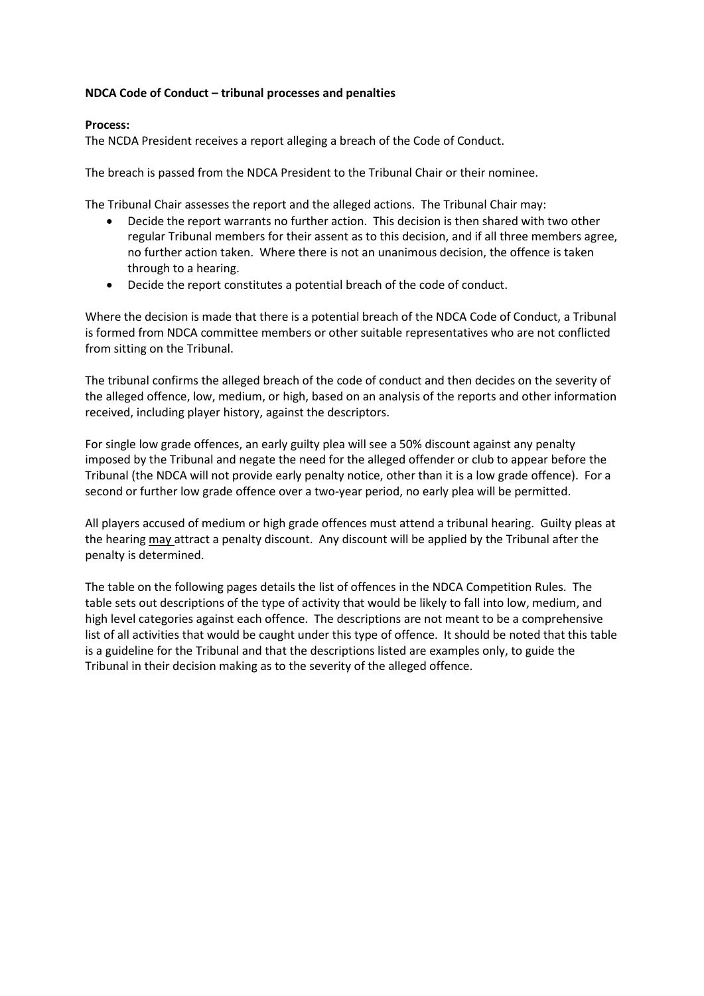## **NDCA Code of Conduct – tribunal processes and penalties**

## **Process:**

The NCDA President receives a report alleging a breach of the Code of Conduct.

The breach is passed from the NDCA President to the Tribunal Chair or their nominee.

The Tribunal Chair assesses the report and the alleged actions. The Tribunal Chair may:

- Decide the report warrants no further action. This decision is then shared with two other regular Tribunal members for their assent as to this decision, and if all three members agree, no further action taken. Where there is not an unanimous decision, the offence is taken through to a hearing.
- Decide the report constitutes a potential breach of the code of conduct.

Where the decision is made that there is a potential breach of the NDCA Code of Conduct, a Tribunal is formed from NDCA committee members or other suitable representatives who are not conflicted from sitting on the Tribunal.

The tribunal confirms the alleged breach of the code of conduct and then decides on the severity of the alleged offence, low, medium, or high, based on an analysis of the reports and other information received, including player history, against the descriptors.

For single low grade offences, an early guilty plea will see a 50% discount against any penalty imposed by the Tribunal and negate the need for the alleged offender or club to appear before the Tribunal (the NDCA will not provide early penalty notice, other than it is a low grade offence). For a second or further low grade offence over a two-year period, no early plea will be permitted.

All players accused of medium or high grade offences must attend a tribunal hearing. Guilty pleas at the hearing may attract a penalty discount. Any discount will be applied by the Tribunal after the penalty is determined.

The table on the following pages details the list of offences in the NDCA Competition Rules. The table sets out descriptions of the type of activity that would be likely to fall into low, medium, and high level categories against each offence. The descriptions are not meant to be a comprehensive list of all activities that would be caught under this type of offence. It should be noted that this table is a guideline for the Tribunal and that the descriptions listed are examples only, to guide the Tribunal in their decision making as to the severity of the alleged offence.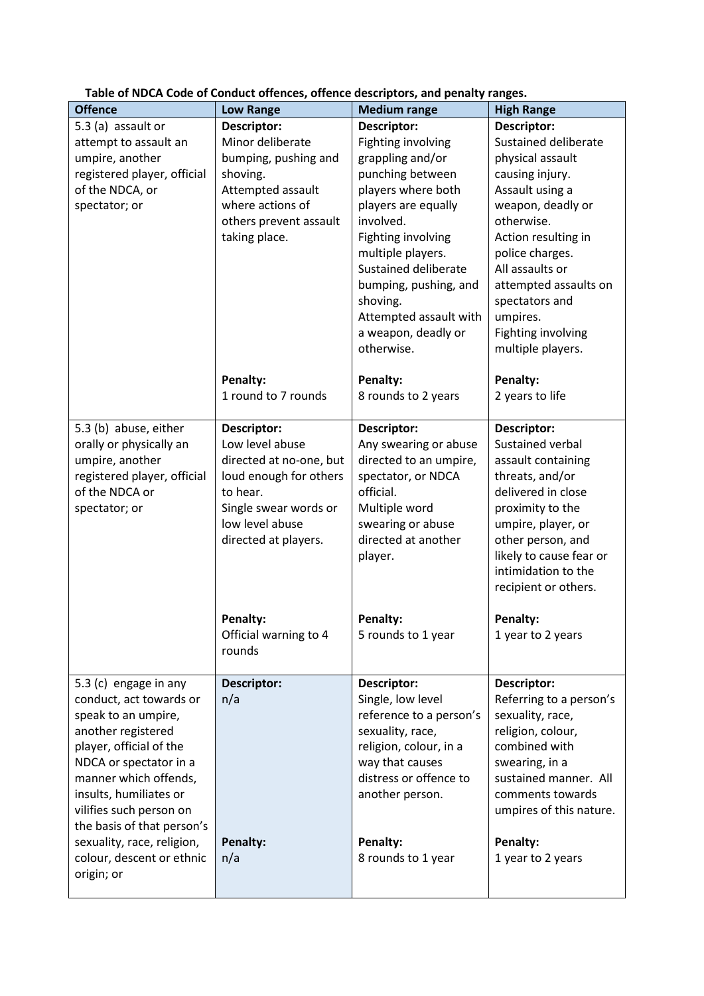| <b>Offence</b>              | <b>Low Range</b>        | <b>Medium range</b>     | <b>High Range</b>       |
|-----------------------------|-------------------------|-------------------------|-------------------------|
| 5.3 (a) assault or          | Descriptor:             | Descriptor:             | Descriptor:             |
| attempt to assault an       | Minor deliberate        | Fighting involving      | Sustained deliberate    |
| umpire, another             | bumping, pushing and    | grappling and/or        | physical assault        |
| registered player, official | shoving.                | punching between        | causing injury.         |
| of the NDCA, or             | Attempted assault       | players where both      | Assault using a         |
| spectator; or               | where actions of        | players are equally     | weapon, deadly or       |
|                             | others prevent assault  | involved.               | otherwise.              |
|                             | taking place.           | Fighting involving      | Action resulting in     |
|                             |                         | multiple players.       | police charges.         |
|                             |                         | Sustained deliberate    | All assaults or         |
|                             |                         | bumping, pushing, and   | attempted assaults on   |
|                             |                         | shoving.                | spectators and          |
|                             |                         | Attempted assault with  | umpires.                |
|                             |                         | a weapon, deadly or     | Fighting involving      |
|                             |                         | otherwise.              | multiple players.       |
|                             | Penalty:                | Penalty:                | Penalty:                |
|                             | 1 round to 7 rounds     | 8 rounds to 2 years     | 2 years to life         |
|                             |                         |                         |                         |
| 5.3 (b) abuse, either       | Descriptor:             | Descriptor:             | Descriptor:             |
| orally or physically an     | Low level abuse         | Any swearing or abuse   | Sustained verbal        |
| umpire, another             | directed at no-one, but | directed to an umpire,  | assault containing      |
| registered player, official | loud enough for others  | spectator, or NDCA      | threats, and/or         |
| of the NDCA or              | to hear.                | official.               | delivered in close      |
| spectator; or               | Single swear words or   | Multiple word           | proximity to the        |
|                             | low level abuse         | swearing or abuse       | umpire, player, or      |
|                             | directed at players.    | directed at another     | other person, and       |
|                             |                         | player.                 | likely to cause fear or |
|                             |                         |                         | intimidation to the     |
|                             |                         |                         | recipient or others.    |
|                             | Penalty:                | Penalty:                | Penalty:                |
|                             | Official warning to 4   | 5 rounds to 1 year      | 1 year to 2 years       |
|                             | rounds                  |                         |                         |
|                             |                         |                         |                         |
| 5.3 (c) engage in any       | Descriptor:             | Descriptor:             | Descriptor:             |
| conduct, act towards or     | n/a                     | Single, low level       | Referring to a person's |
| speak to an umpire,         |                         | reference to a person's | sexuality, race,        |
| another registered          |                         | sexuality, race,        | religion, colour,       |
| player, official of the     |                         | religion, colour, in a  | combined with           |
| NDCA or spectator in a      |                         | way that causes         | swearing, in a          |
| manner which offends,       |                         | distress or offence to  | sustained manner. All   |
| insults, humiliates or      |                         | another person.         | comments towards        |
| vilifies such person on     |                         |                         | umpires of this nature. |
| the basis of that person's  |                         |                         |                         |
| sexuality, race, religion,  | Penalty:                | Penalty:                | Penalty:                |
| colour, descent or ethnic   | n/a                     | 8 rounds to 1 year      | 1 year to 2 years       |
| origin; or                  |                         |                         |                         |

## **Table of NDCA Code of Conduct offences, offence descriptors, and penalty ranges.**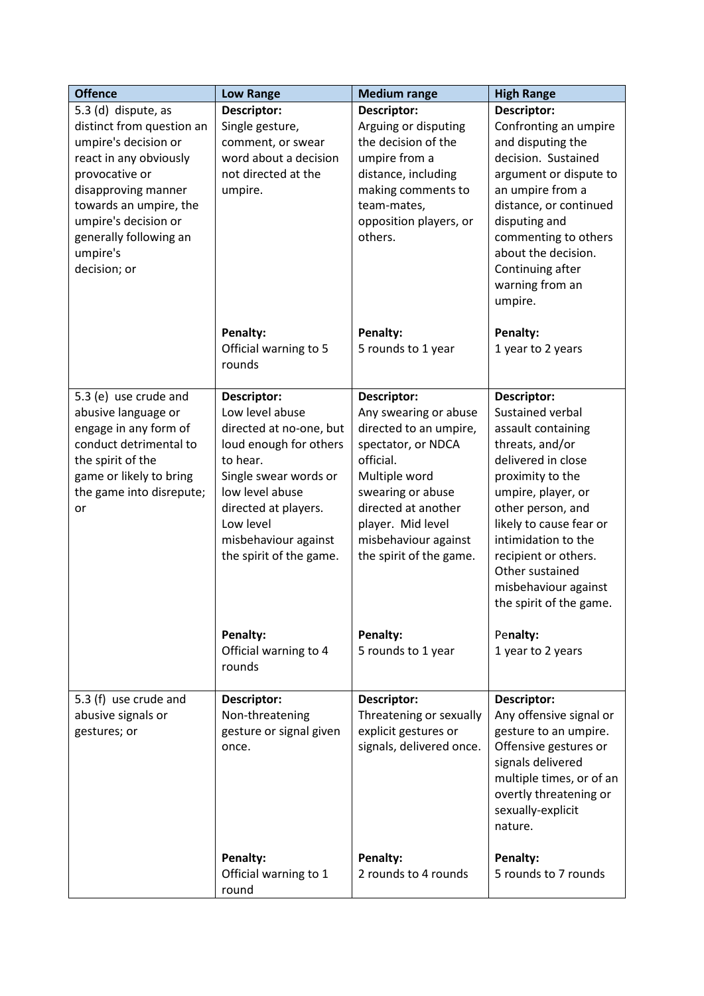| <b>Offence</b>                                                                                                                                                                                                                                      | <b>Low Range</b>                                                                                                                                                                                                                                                         | <b>Medium range</b>                                                                                                                                                                                                                                                      | <b>High Range</b>                                                                                                                                                                                                                                                                                                                              |
|-----------------------------------------------------------------------------------------------------------------------------------------------------------------------------------------------------------------------------------------------------|--------------------------------------------------------------------------------------------------------------------------------------------------------------------------------------------------------------------------------------------------------------------------|--------------------------------------------------------------------------------------------------------------------------------------------------------------------------------------------------------------------------------------------------------------------------|------------------------------------------------------------------------------------------------------------------------------------------------------------------------------------------------------------------------------------------------------------------------------------------------------------------------------------------------|
| 5.3 (d) dispute, as<br>distinct from question an<br>umpire's decision or<br>react in any obviously<br>provocative or<br>disapproving manner<br>towards an umpire, the<br>umpire's decision or<br>generally following an<br>umpire's<br>decision; or | Descriptor:<br>Single gesture,<br>comment, or swear<br>word about a decision<br>not directed at the<br>umpire.                                                                                                                                                           | Descriptor:<br>Arguing or disputing<br>the decision of the<br>umpire from a<br>distance, including<br>making comments to<br>team-mates,<br>opposition players, or<br>others.                                                                                             | Descriptor:<br>Confronting an umpire<br>and disputing the<br>decision. Sustained<br>argument or dispute to<br>an umpire from a<br>distance, or continued<br>disputing and<br>commenting to others<br>about the decision.<br>Continuing after<br>warning from an<br>umpire.                                                                     |
|                                                                                                                                                                                                                                                     | Penalty:<br>Official warning to 5<br>rounds                                                                                                                                                                                                                              | Penalty:<br>5 rounds to 1 year                                                                                                                                                                                                                                           | Penalty:<br>1 year to 2 years                                                                                                                                                                                                                                                                                                                  |
| 5.3 (e) use crude and<br>abusive language or<br>engage in any form of<br>conduct detrimental to<br>the spirit of the<br>game or likely to bring<br>the game into disrepute;<br>or                                                                   | Descriptor:<br>Low level abuse<br>directed at no-one, but<br>loud enough for others<br>to hear.<br>Single swear words or<br>low level abuse<br>directed at players.<br>Low level<br>misbehaviour against<br>the spirit of the game.<br>Penalty:<br>Official warning to 4 | Descriptor:<br>Any swearing or abuse<br>directed to an umpire,<br>spectator, or NDCA<br>official.<br>Multiple word<br>swearing or abuse<br>directed at another<br>player. Mid level<br>misbehaviour against<br>the spirit of the game.<br>Penalty:<br>5 rounds to 1 year | Descriptor:<br>Sustained verbal<br>assault containing<br>threats, and/or<br>delivered in close<br>proximity to the<br>umpire, player, or<br>other person, and<br>likely to cause fear or<br>intimidation to the<br>recipient or others.<br>Other sustained<br>misbehaviour against<br>the spirit of the game.<br>Penalty:<br>1 year to 2 years |
|                                                                                                                                                                                                                                                     | rounds                                                                                                                                                                                                                                                                   |                                                                                                                                                                                                                                                                          |                                                                                                                                                                                                                                                                                                                                                |
| 5.3 (f) use crude and<br>abusive signals or<br>gestures; or                                                                                                                                                                                         | Descriptor:<br>Non-threatening<br>gesture or signal given<br>once.                                                                                                                                                                                                       | Descriptor:<br>Threatening or sexually<br>explicit gestures or<br>signals, delivered once.                                                                                                                                                                               | Descriptor:<br>Any offensive signal or<br>gesture to an umpire.<br>Offensive gestures or<br>signals delivered<br>multiple times, or of an<br>overtly threatening or<br>sexually-explicit<br>nature.                                                                                                                                            |
|                                                                                                                                                                                                                                                     | Penalty:<br>Official warning to 1<br>round                                                                                                                                                                                                                               | Penalty:<br>2 rounds to 4 rounds                                                                                                                                                                                                                                         | Penalty:<br>5 rounds to 7 rounds                                                                                                                                                                                                                                                                                                               |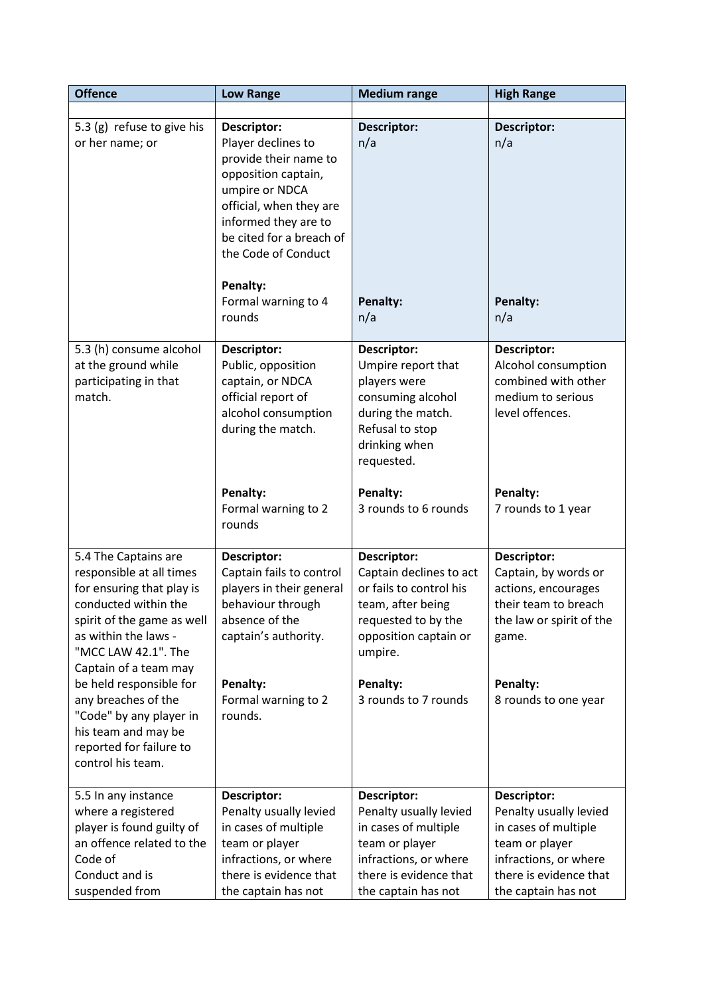| <b>Offence</b>                                                                                                                                                                                                                                                                                                                                                  | <b>Low Range</b>                                                                                                                                                                                                                                       | <b>Medium range</b>                                                                                                                                                                   | <b>High Range</b>                                                                                                                                           |
|-----------------------------------------------------------------------------------------------------------------------------------------------------------------------------------------------------------------------------------------------------------------------------------------------------------------------------------------------------------------|--------------------------------------------------------------------------------------------------------------------------------------------------------------------------------------------------------------------------------------------------------|---------------------------------------------------------------------------------------------------------------------------------------------------------------------------------------|-------------------------------------------------------------------------------------------------------------------------------------------------------------|
|                                                                                                                                                                                                                                                                                                                                                                 |                                                                                                                                                                                                                                                        |                                                                                                                                                                                       |                                                                                                                                                             |
| 5.3 (g) refuse to give his<br>or her name; or                                                                                                                                                                                                                                                                                                                   | Descriptor:<br>Player declines to<br>provide their name to<br>opposition captain,<br>umpire or NDCA<br>official, when they are<br>informed they are to<br>be cited for a breach of<br>the Code of Conduct<br>Penalty:<br>Formal warning to 4<br>rounds | Descriptor:<br>n/a<br><b>Penalty:</b><br>n/a                                                                                                                                          | Descriptor:<br>n/a<br><b>Penalty:</b><br>n/a                                                                                                                |
| 5.3 (h) consume alcohol<br>at the ground while<br>participating in that<br>match.                                                                                                                                                                                                                                                                               | Descriptor:<br>Public, opposition<br>captain, or NDCA<br>official report of<br>alcohol consumption<br>during the match.<br>Penalty:<br>Formal warning to 2<br>rounds                                                                                   | Descriptor:<br>Umpire report that<br>players were<br>consuming alcohol<br>during the match.<br>Refusal to stop<br>drinking when<br>requested.<br>Penalty:<br>3 rounds to 6 rounds     | Descriptor:<br>Alcohol consumption<br>combined with other<br>medium to serious<br>level offences.<br>Penalty:<br>7 rounds to 1 year                         |
| 5.4 The Captains are<br>responsible at all times<br>for ensuring that play is<br>conducted within the<br>spirit of the game as well<br>as within the laws -<br>"MCC LAW 42.1". The<br>Captain of a team may<br>be held responsible for<br>any breaches of the<br>"Code" by any player in<br>his team and may be<br>reported for failure to<br>control his team. | Descriptor:<br>Captain fails to control<br>players in their general<br>behaviour through<br>absence of the<br>captain's authority.<br>Penalty:<br>Formal warning to 2<br>rounds.                                                                       | Descriptor:<br>Captain declines to act<br>or fails to control his<br>team, after being<br>requested to by the<br>opposition captain or<br>umpire.<br>Penalty:<br>3 rounds to 7 rounds | Descriptor:<br>Captain, by words or<br>actions, encourages<br>their team to breach<br>the law or spirit of the<br>game.<br>Penalty:<br>8 rounds to one year |
| 5.5 In any instance<br>where a registered<br>player is found guilty of<br>an offence related to the<br>Code of<br>Conduct and is<br>suspended from                                                                                                                                                                                                              | Descriptor:<br>Penalty usually levied<br>in cases of multiple<br>team or player<br>infractions, or where<br>there is evidence that<br>the captain has not                                                                                              | Descriptor:<br>Penalty usually levied<br>in cases of multiple<br>team or player<br>infractions, or where<br>there is evidence that<br>the captain has not                             | Descriptor:<br>Penalty usually levied<br>in cases of multiple<br>team or player<br>infractions, or where<br>there is evidence that<br>the captain has not   |